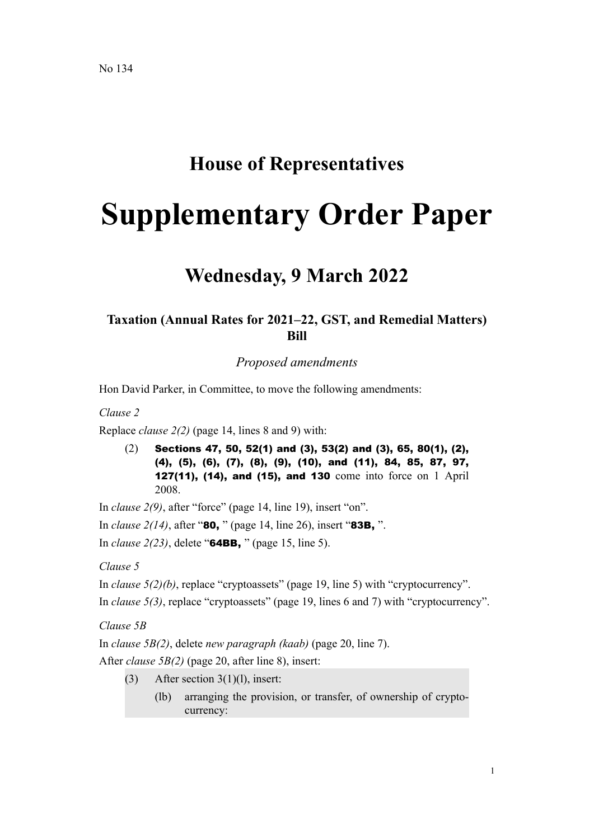# **House of Representatives**

# **Supplementary Order Paper**

# **Wednesday, 9 March 2022**

# **Taxation (Annual Rates for 2021–22, GST, and Remedial Matters) Bill**

*Proposed amendments*

Hon David Parker, in Committee, to move the following amendments:

*Clause 2*

Replace *clause 2(2)* (page 14, lines 8 and 9) with:

(2) Sections 47, 50, 52(1) and (3), 53(2) and (3), 65, 80(1), (2), (4), (5), (6), (7), (8), (9), (10), and (11), 84, 85, 87, 97, 127(11), (14), and (15), and 130 come into force on 1 April 2008.

In *clause 2(9)*, after "force" (page 14, line 19), insert "on".

In *clause 2(14)*, after "80, " (page 14, line 26), insert "83B, ".

In *clause 2(23)*, delete "64BB, " (page 15, line 5).

*Clause 5*

In *clause 5(2)(b)*, replace "cryptoassets" (page 19, line 5) with "cryptocurrency".

In *clause 5(3)*, replace "cryptoassets" (page 19, lines 6 and 7) with "cryptocurrency".

*Clause 5B*

In *clause 5B(2)*, delete *new paragraph (kaab)* (page 20, line 7).

After *clause 5B(2)* (page 20, after line 8), insert:

- (3) After section  $3(1)(1)$ , insert:
	- (lb) arranging the provision, or transfer, of ownership of cryptocurrency: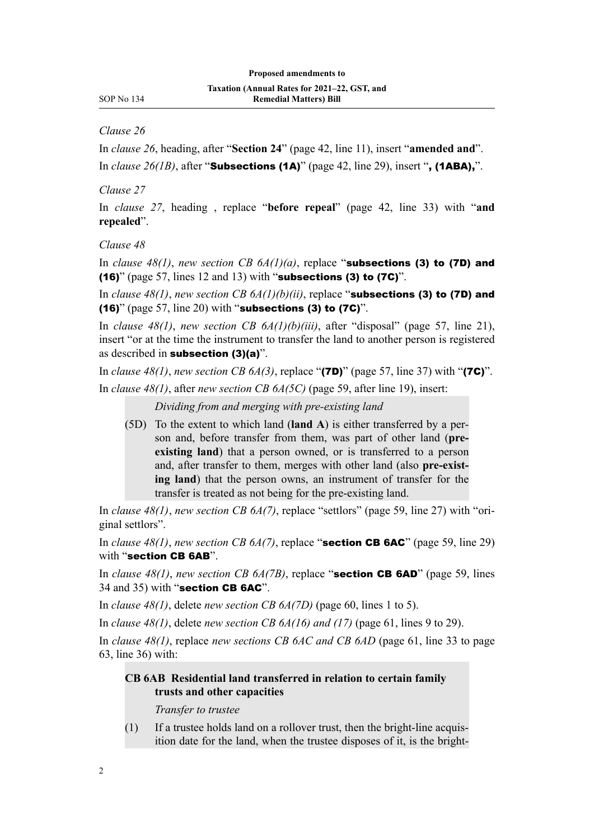*Clause 26*

In *clause 26*, heading, after "**Section 24**" (page 42, line 11), insert "**amended and**". In *clause 26(1B)*, after "**Subsections (1A)**" (page 42, line 29), insert ", (1ABA),".

*Clause 27*

In *clause 27*, heading , replace "**before repeal**" (page 42, line 33) with "**and repealed**".

*Clause 48*

In *clause 48(1)*, *new section CB 6A(1)(a)*, replace "subsections (3) to (7D) and (16)" (page 57, lines 12 and 13) with "subsections (3) to (7C)".

In *clause 48(1)*, *new section CB 6A(1)(b)(ii)*, replace "**subsections (3) to (7D) and** (16)" (page 57, line 20) with "subsections (3) to  $(7C)$ ".

In *clause 48(1)*, *new section CB 6A(1)(b)(iii)*, after "disposal" (page 57, line 21), insert "or at the time the instrument to transfer the land to another person is registered as described in subsection (3)(a)".

In *clause 48(1)*, *new section CB 6A(3)*, replace "(7D)" (page 57, line 37) with "(7C)". In *clause 48(1)*, after *new section CB 6A(5C)* (page 59, after line 19), insert:

*Dividing from and merging with pre-existing land*

(5D) To the extent to which land (**land A**) is either transferred by a per‐ son and, before transfer from them, was part of other land (**preexisting land**) that a person owned, or is transferred to a person and, after transfer to them, merges with other land (also **pre-exist‐ ing land**) that the person owns, an instrument of transfer for the transfer is treated as not being for the pre-existing land.

In *clause 48(1)*, *new section CB 6A(7)*, replace "settlors" (page 59, line 27) with "ori‐ ginal settlors".

In *clause 48(1)*, *new section CB 6A(7)*, replace "section CB 6AC" (page 59, line 29) with "section CB 6AB".

In *clause 48(1)*, *new section CB 6A(7B)*, replace "**section CB 6AD**" (page 59, lines 34 and 35) with "section CB 6AC".

In *clause 48(1)*, delete *new section CB 6A(7D)* (page 60, lines 1 to 5).

In *clause 48(1)*, delete *new section CB 6A(16) and (17)* (page 61, lines 9 to 29).

In *clause 48(1)*, replace *new sections CB 6AC and CB 6AD* (page 61, line 33 to page 63, line 36) with:

# **CB 6AB Residential land transferred in relation to certain family trusts and other capacities**

*Transfer to trustee*

 $(1)$  If a trustee holds land on a rollover trust, then the bright-line acquisition date for the land, when the trustee disposes of it, is the bright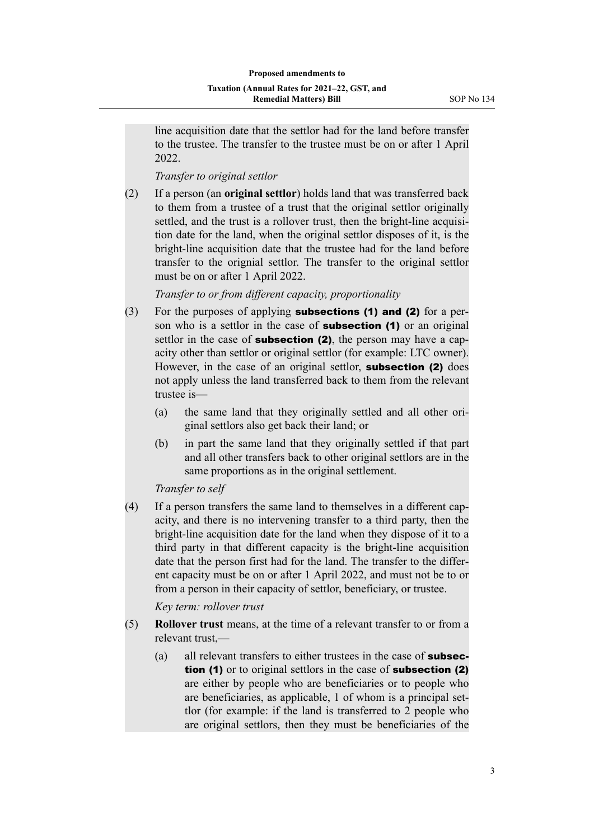line acquisition date that the settlor had for the land before transfer to the trustee. The transfer to the trustee must be on or after 1 April 2022.

*Transfer to original settlor*

(2) If a person (an **original settlor**) holds land that was transferred back to them from a trustee of a trust that the original settlor originally settled, and the trust is a rollover trust, then the bright-line acquisition date for the land, when the original settlor disposes of it, is the bright-line acquisition date that the trustee had for the land before transfer to the orignial settlor. The transfer to the original settlor must be on or after 1 April 2022.

*Transfer to or from different capacity, proportionality*

- (3) For the purposes of applying **subsections (1) and (2)** for a person who is a settlor in the case of **subsection (1)** or an original settlor in the case of **subsection (2)**, the person may have a capacity other than settlor or original settlor (for example: LTC owner). However, in the case of an original settlor, **subsection (2)** does not apply unless the land transferred back to them from the relevant trustee is—
	- (a) the same land that they originally settled and all other original settlors also get back their land; or
	- (b) in part the same land that they originally settled if that part and all other transfers back to other original settlors are in the same proportions as in the original settlement.

*Transfer to self*

(4) If a person transfers the same land to themselves in a different cap‐ acity, and there is no intervening transfer to a third party, then the bright-line acquisition date for the land when they dispose of it to a third party in that different capacity is the bright-line acquisition date that the person first had for the land. The transfer to the differ‐ ent capacity must be on or after 1 April 2022, and must not be to or from a person in their capacity of settlor, beneficiary, or trustee.

*Key term: rollover trust*

- (5) **Rollover trust** means, at the time of a relevant transfer to or from a relevant trust,—
	- (a) all relevant transfers to either trustees in the case of **subsec**tion (1) or to original settlors in the case of **subsection (2)** are either by people who are beneficiaries or to people who are beneficiaries, as applicable, 1 of whom is a principal set‐ tlor (for example: if the land is transferred to 2 people who are original settlors, then they must be beneficiaries of the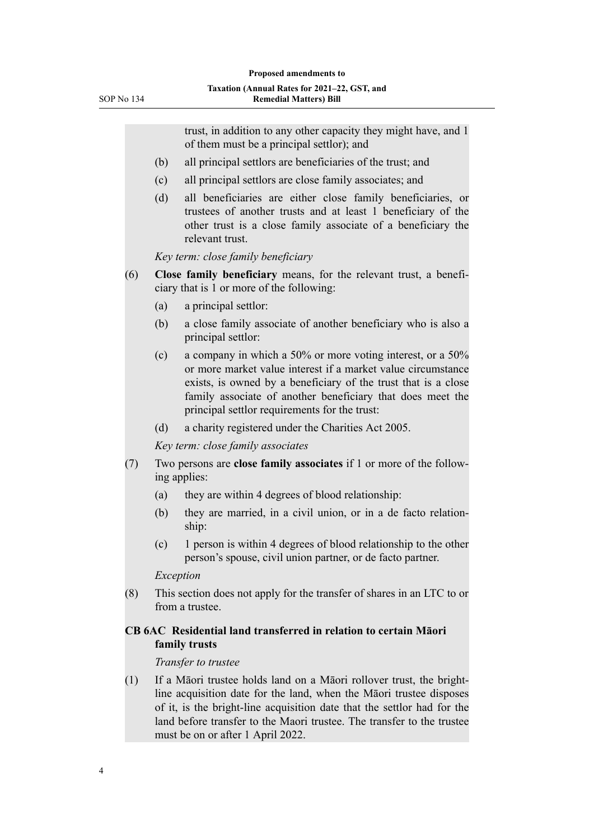trust, in addition to any other capacity they might have, and 1 of them must be a principal settlor); and (b) all principal settlors are beneficiaries of the trust; and (c) all principal settlors are close family associates; and (d) all beneficiaries are either close family beneficiaries, or trustees of another trusts and at least 1 beneficiary of the other trust is a close family associate of a beneficiary the relevant trust. *Key term: close family beneficiary* (6) **Close family beneficiary** means, for the relevant trust, a benefi‐ ciary that is 1 or more of the following: (a) a principal settlor: (b) a close family associate of another beneficiary who is also a principal settlor: (c) a company in which a 50% or more voting interest, or a 50% or more market value interest if a market value circumstance exists, is owned by a beneficiary of the trust that is a close family associate of another beneficiary that does meet the principal settlor requirements for the trust: (d) a charity registered under the Charities Act 2005. *Key term: close family associates* (7) Two persons are **close family associates** if 1 or more of the follow‐ ing applies: (a) they are within 4 degrees of blood relationship: (b) they are married, in a civil union, or in a de facto relationship: (c) 1 person is within 4 degrees of blood relationship to the other person's spouse, civil union partner, or de facto partner. *Exception* (8) This section does not apply for the transfer of shares in an LTC to or from a trustee. **CB 6AC Residential land transferred in relation to certain Māori family trusts** *Transfer to trustee* (1) If a Māori trustee holds land on a Māori rollover trust, the brightline acquisition date for the land, when the Māori trustee disposes of it, is the bright-line acquisition date that the settlor had for the land before transfer to the Maori trustee. The transfer to the trustee must be on or after 1 April 2022.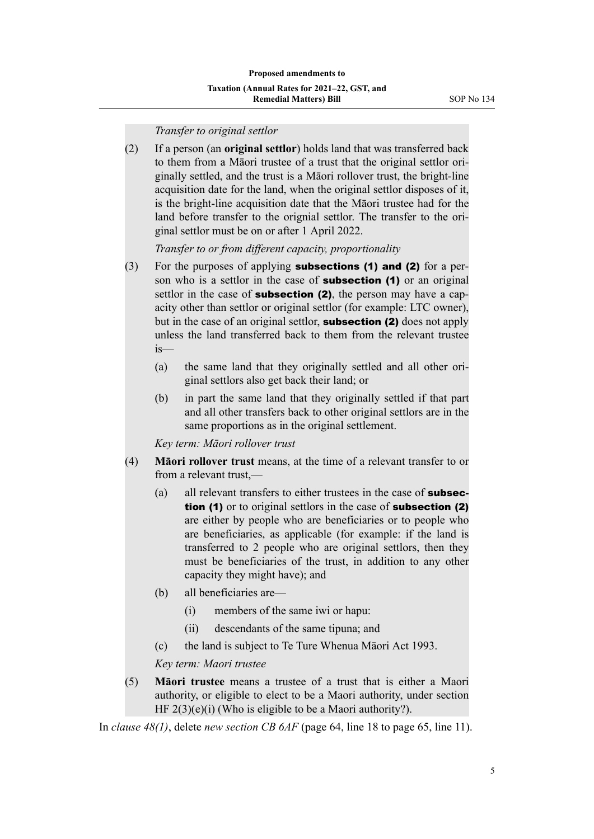(2) If a person (an **original settlor**) holds land that was transferred back to them from a Māori trustee of a trust that the original settlor ori‐ ginally settled, and the trust is a Māori rollover trust, the bright-line acquisition date for the land, when the original settlor disposes of it, is the bright-line acquisition date that the Māori trustee had for the land before transfer to the orignial settlor. The transfer to the original settlor must be on or after 1 April 2022.

*Transfer to or from different capacity, proportionality*

- (3) For the purposes of applying **subsections (1) and (2)** for a person who is a settlor in the case of **subsection (1)** or an original settlor in the case of **subsection (2)**, the person may have a capacity other than settlor or original settlor (for example: LTC owner), but in the case of an original settlor, **subsection (2)** does not apply unless the land transferred back to them from the relevant trustee is—
	- (a) the same land that they originally settled and all other original settlors also get back their land; or
	- (b) in part the same land that they originally settled if that part and all other transfers back to other original settlors are in the same proportions as in the original settlement.

*Key term: Māori rollover trust*

- (4) **Māori rollover trust** means, at the time of a relevant transfer to or from a relevant trust,—
	- (a) all relevant transfers to either trustees in the case of **subsec**tion (1) or to original settlors in the case of **subsection (2)** are either by people who are beneficiaries or to people who are beneficiaries, as applicable (for example: if the land is transferred to 2 people who are original settlors, then they must be beneficiaries of the trust, in addition to any other capacity they might have); and
	- (b) all beneficiaries are—
		- (i) members of the same iwi or hapu:
		- (ii) descendants of the same tipuna; and
	- (c) the land is subject to Te Ture Whenua Māori Act 1993.

*Key term: Maori trustee*

(5) **Māori trustee** means a trustee of a trust that is either a Maori authority, or eligible to elect to be a Maori authority, under section HF  $2(3)(e)(i)$  (Who is eligible to be a Maori authority?).

In *clause 48(1)*, delete *new section CB 6AF* (page 64, line 18 to page 65, line 11).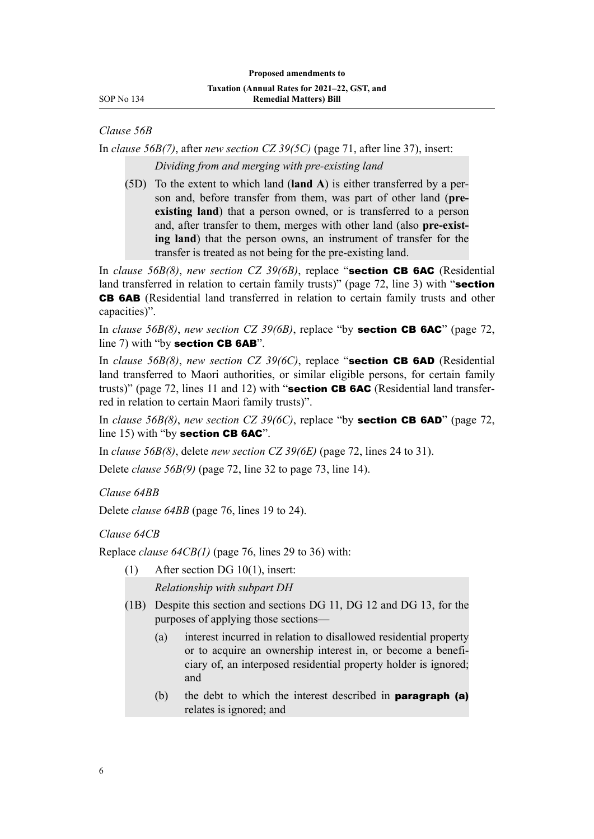*Clause 56B*

In *clause 56B(7)*, after *new section CZ 39(5C)* (page 71, after line 37), insert: *Dividing from and merging with pre-existing land*

(5D) To the extent to which land (**land A**) is either transferred by a per‐ son and, before transfer from them, was part of other land (**preexisting land**) that a person owned, or is transferred to a person and, after transfer to them, merges with other land (also **pre-exist‐ ing land**) that the person owns, an instrument of transfer for the transfer is treated as not being for the pre-existing land.

In *clause 56B(8)*, *new section CZ 39(6B)*, replace "section CB 6AC (Residential land transferred in relation to certain family trusts)" (page 72, line 3) with "section CB 6AB (Residential land transferred in relation to certain family trusts and other capacities)".

In *clause 56B(8)*, *new section CZ 39(6B)*, replace "by section CB 6AC" (page 72, line 7) with "by section CB 6AB".

In *clause 56B(8)*, *new section CZ 39(6C)*, replace "section CB 6AD (Residential land transferred to Maori authorities, or similar eligible persons, for certain family trusts)" (page 72, lines 11 and 12) with "**section CB 6AC** (Residential land transferred in relation to certain Maori family trusts)".

In *clause 56B(8)*, *new section CZ 39(6C)*, replace "by section CB 6AD" (page 72, line 15) with "by section CB 6AC".

In *clause 56B(8)*, delete *new section CZ 39(6E)* (page 72, lines 24 to 31).

Delete *clause 56B(9)* (page 72, line 32 to page 73, line 14).

*Clause 64BB*

Delete *clause 64BB* (page 76, lines 19 to 24).

*Clause 64CB*

Replace *clause 64CB(1)* (page 76, lines 29 to 36) with:

- (1) After section DG 10(1), insert: *Relationship with subpart DH*
- (1B) Despite this section and sections DG 11, DG 12 and DG 13, for the purposes of applying those sections—
	- (a) interest incurred in relation to disallowed residential property or to acquire an ownership interest in, or become a benefi‐ ciary of, an interposed residential property holder is ignored; and
	- (b) the debt to which the interest described in **paragraph (a)** relates is ignored; and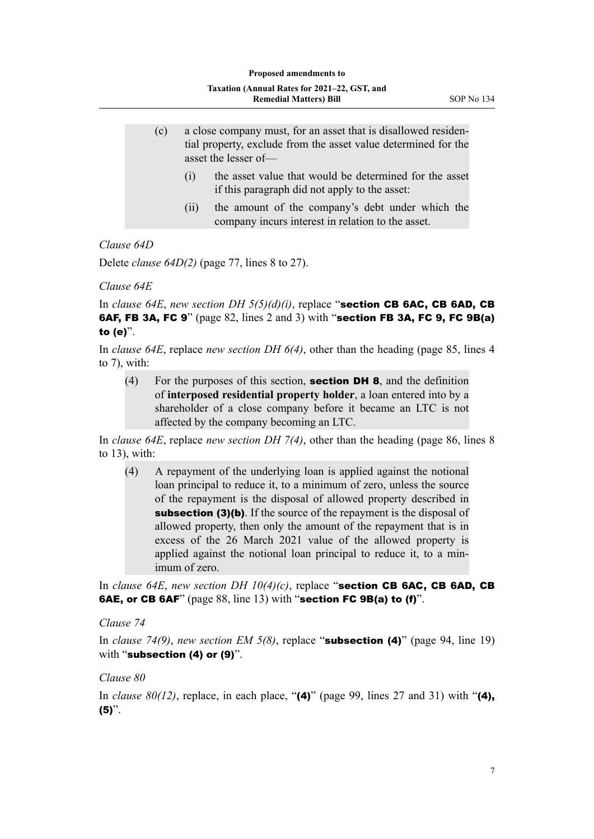- (c) a close company must, for an asset that is disallowed residen‐ tial property, exclude from the asset value determined for the asset the lesser of—
	- (i) the asset value that would be determined for the asset if this paragraph did not apply to the asset:
	- (ii) the amount of the company's debt under which the company incurs interest in relation to the asset.

# *Clause 64D*

Delete *clause 64D(2)* (page 77, lines 8 to 27).

#### *Clause 64E*

In *clause 64E*, *new section DH*  $5(5)(d)(i)$ , replace "**section CB 6AC, CB 6AD, CB** 6AF, FB 3A, FC 9" (page 82, lines 2 and 3) with "section FB 3A, FC 9, FC 9B(a) to (e)".

In *clause 64E*, replace *new section DH 6(4)*, other than the heading (page 85, lines 4 to 7), with:

(4) For the purposes of this section, **section DH 8**, and the definition of **interposed residential property holder**, a loan entered into by a shareholder of a close company before it became an LTC is not affected by the company becoming an LTC.

In *clause 64E*, replace *new section DH 7(4)*, other than the heading (page 86, lines 8 to 13), with:

(4) A repayment of the underlying loan is applied against the notional loan principal to reduce it, to a minimum of zero, unless the source of the repayment is the disposal of allowed property described in subsection (3)(b). If the source of the repayment is the disposal of allowed property, then only the amount of the repayment that is in excess of the 26 March 2021 value of the allowed property is applied against the notional loan principal to reduce it, to a min‐ imum of zero.

In *clause 64E*, *new section DH 10(4)(c)*, replace "section CB 6AC, CB 6AD, CB 6AE, or CB 6AF" (page 88, line 13) with "section FC 9B(a) to (f)".

## *Clause 74*

In *clause 74(9)*, *new section EM 5(8)*, replace "subsection (4)" (page 94, line 19) with "subsection (4) or (9)".

# *Clause 80*

In *clause 80(12)*, replace, in each place, " $(4)$ " (page 99, lines 27 and 31) with " $(4)$ ,  $(5)$ ".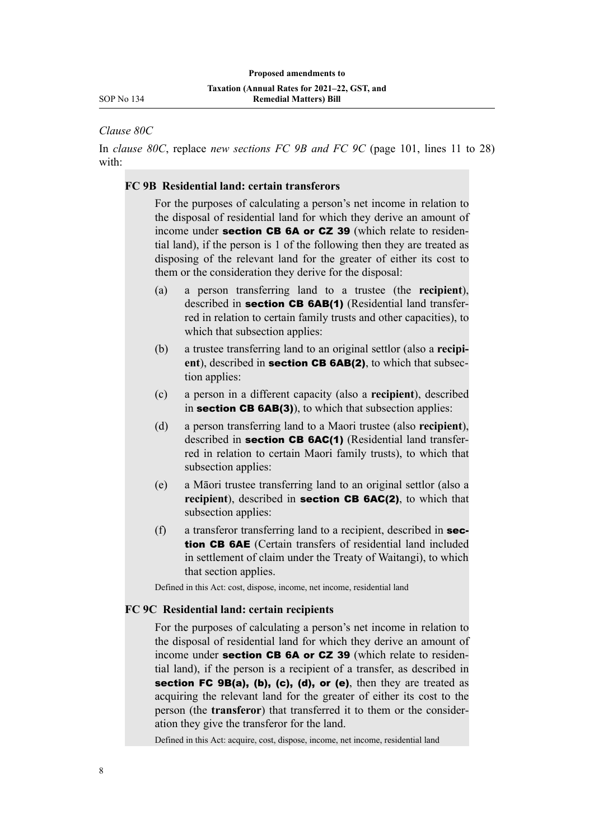*Clause 80C*

In *clause 80C*, replace *new sections FC 9B and FC 9C* (page 101, lines 11 to 28) with:

# **FC 9B Residential land: certain transferors**

For the purposes of calculating a person's net income in relation to the disposal of residential land for which they derive an amount of income under **section CB 6A or CZ 39** (which relate to residential land), if the person is 1 of the following then they are treated as disposing of the relevant land for the greater of either its cost to them or the consideration they derive for the disposal:

- (a) a person transferring land to a trustee (the **recipient**), described in section CB 6AB(1) (Residential land transferred in relation to certain family trusts and other capacities), to which that subsection applies:
- (b) a trustee transferring land to an original settlor (also a **recipi‐** ent), described in **section CB 6AB(2)**, to which that subsection applies:
- (c) a person in a different capacity (also a **recipient**), described in section CB 6AB(3)), to which that subsection applies:
- (d) a person transferring land to a Maori trustee (also **recipient**), described in section CB 6AC(1) (Residential land transferred in relation to certain Maori family trusts), to which that subsection applies:
- (e) a Māori trustee transferring land to an original settlor (also a **recipient**), described in **section CB 6AC(2)**, to which that subsection applies:
- (f) a transferor transferring land to a recipient, described in section CB 6AE (Certain transfers of residential land included in settlement of claim under the Treaty of Waitangi), to which that section applies.

Defined in this Act: cost, dispose, income, net income, residential land

#### **FC 9C Residential land: certain recipients**

For the purposes of calculating a person's net income in relation to the disposal of residential land for which they derive an amount of income under **section CB 6A or CZ 39** (which relate to residential land), if the person is a recipient of a transfer, as described in section FC 9B(a), (b), (c), (d), or (e), then they are treated as acquiring the relevant land for the greater of either its cost to the person (the **transferor**) that transferred it to them or the consider‐ ation they give the transferor for the land.

Defined in this Act: acquire, cost, dispose, income, net income, residential land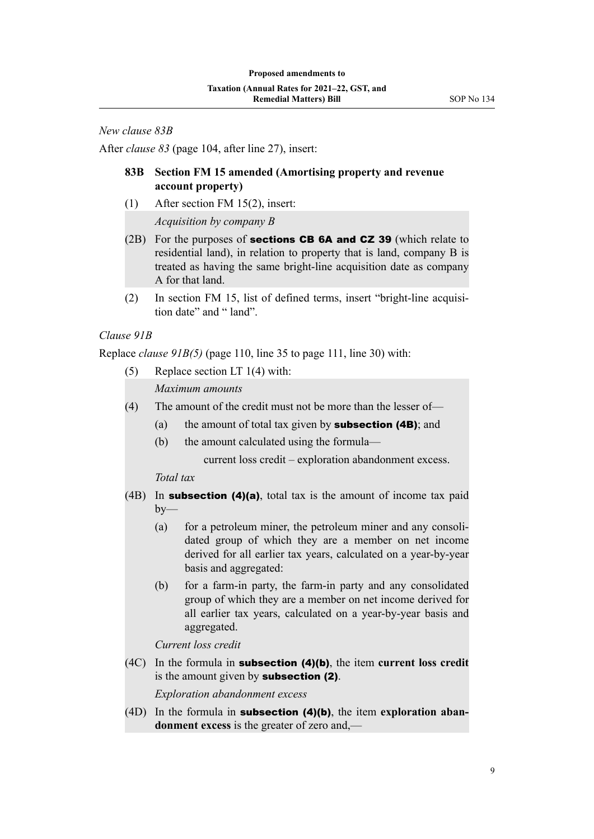*New clause 83B*

After *clause 83* (page 104, after line 27), insert:

# **83B Section FM 15 amended (Amortising property and revenue account property)**

(1) After section FM 15(2), insert:

*Acquisition by company B*

- $(2B)$  For the purposes of **sections CB 6A and CZ 39** (which relate to residential land), in relation to property that is land, company B is treated as having the same bright-line acquisition date as company A for that land.
- (2) In section FM 15, list of defined terms, insert "bright-line acquisi‐ tion date" and " land".

# *Clause 91B*

Replace *clause 91B(5)* (page 110, line 35 to page 111, line 30) with:

(5) Replace section LT 1(4) with:

*Maximum amounts*

- (4) The amount of the credit must not be more than the lesser of—
	- (a) the amount of total tax given by **subsection (4B)**; and
	- (b) the amount calculated using the formula—

current loss credit – exploration abandonment excess.

*Total tax*

- (4B) In subsection (4)(a), total tax is the amount of income tax paid  $bv$ —
	- (a) for a petroleum miner, the petroleum miner and any consolidated group of which they are a member on net income derived for all earlier tax years, calculated on a year-by-year basis and aggregated:
	- (b) for a farm-in party, the farm-in party and any consolidated group of which they are a member on net income derived for all earlier tax years, calculated on a year-by-year basis and aggregated.

*Current loss credit*

(4C) In the formula in subsection (4)(b), the item **current loss credit** is the amount given by **subsection (2)**.

*Exploration abandonment excess*

(4D) In the formula in subsection (4)(b), the item **exploration aban‐ donment excess** is the greater of zero and,—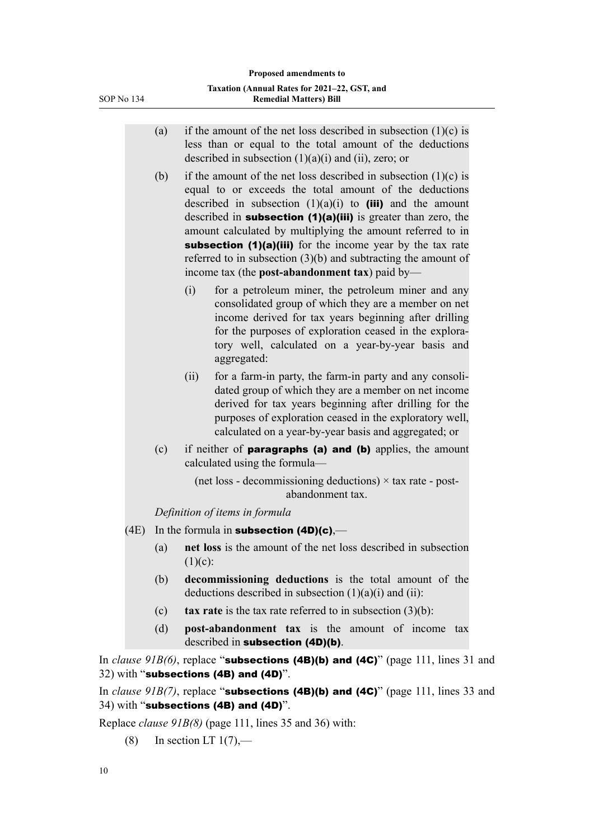- (a) if the amount of the net loss described in subsection  $(1)(c)$  is less than or equal to the total amount of the deductions described in subsection  $(1)(a)(i)$  and  $(ii)$ , zero; or
- (b) if the amount of the net loss described in subsection  $(1)(c)$  is equal to or exceeds the total amount of the deductions described in subsection  $(1)(a)(i)$  to **(iii)** and the amount described in **subsection (1)(a)(iii)** is greater than zero, the amount calculated by multiplying the amount referred to in subsection (1)(a)(iii) for the income year by the tax rate referred to in subsection (3)(b) and subtracting the amount of income tax (the **post-abandonment tax**) paid by—
	- (i) for a petroleum miner, the petroleum miner and any consolidated group of which they are a member on net income derived for tax years beginning after drilling for the purposes of exploration ceased in the exploratory well, calculated on a year-by-year basis and aggregated:
	- (ii) for a farm-in party, the farm-in party and any consoli‐ dated group of which they are a member on net income derived for tax years beginning after drilling for the purposes of exploration ceased in the exploratory well, calculated on a year-by-year basis and aggregated; or
- (c) if neither of paragraphs (a) and (b) applies, the amount calculated using the formula—

(net loss - decommissioning deductions)  $\times$  tax rate - postabandonment tax.

*Definition of items in formula*

- $(4E)$  In the formula in **subsection (4D)(c)**,—
	- (a) **net loss** is the amount of the net loss described in subsection  $(1)(c)$ :
	- (b) **decommissioning deductions** is the total amount of the deductions described in subsection  $(1)(a)(i)$  and  $(ii)$ :
	- (c) **tax rate** is the tax rate referred to in subsection (3)(b):
	- (d) **post-abandonment tax** is the amount of income tax described in subsection (4D)(b).

In *clause 91B(6)*, replace "**subsections (4B)(b) and (4C)**" (page 111, lines 31 and 32) with "subsections (4B) and (4D)".

In *clause 91B(7)*, replace "**subsections (4B)(b) and (4C)**" (page 111, lines 33 and 34) with "subsections (4B) and (4D)".

Replace *clause 91B(8)* (page 111, lines 35 and 36) with:

 $(8)$  In section LT  $1(7)$ ,—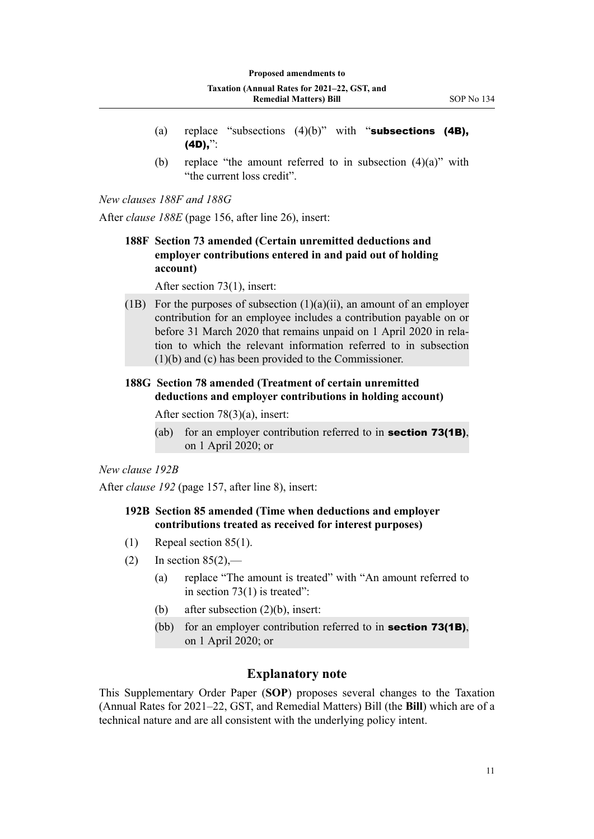- (a) replace "subsections  $(4)(b)$ " with "subsections  $(4B)$ , (4D),":
- (b) replace "the amount referred to in subsection  $(4)(a)$ " with "the current loss credit".

*New clauses 188F and 188G*

After *clause 188E* (page 156, after line 26), insert:

**188F Section 73 amended (Certain unremitted deductions and employer contributions entered in and paid out of holding account)**

After section 73(1), insert:

(1B) For the purposes of subsection  $(1)(a)(ii)$ , an amount of an employer contribution for an employee includes a contribution payable on or before 31 March 2020 that remains unpaid on 1 April 2020 in relation to which the relevant information referred to in subsection (1)(b) and (c) has been provided to the Commissioner.

# **188G Section 78 amended (Treatment of certain unremitted deductions and employer contributions in holding account)**

After section 78(3)(a), insert:

(ab) for an employer contribution referred to in **section 73(1B)**, on 1 April 2020; or

# *New clause 192B*

After *clause 192* (page 157, after line 8), insert:

# **192B Section 85 amended (Time when deductions and employer contributions treated as received for interest purposes)**

- (1) Repeal section 85(1).
- (2) In section  $85(2)$ ,—
	- (a) replace "The amount is treated" with "An amount referred to in section 73(1) is treated":
	- (b) after subsection (2)(b), insert:
	- (bb) for an employer contribution referred to in **section 73(1B)**, on 1 April 2020; or

# **Explanatory note**

This Supplementary Order Paper (**SOP**) proposes several changes to the Taxation (Annual Rates for 2021–22, GST, and Remedial Matters) Bill (the **Bill**) which are of a technical nature and are all consistent with the underlying policy intent.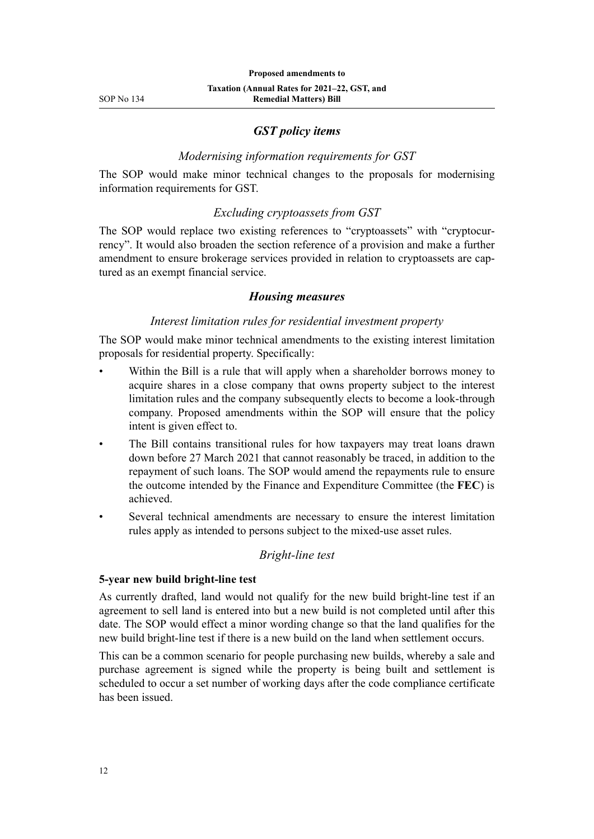# *GST policy items*

### *Modernising information requirements for GST*

The SOP would make minor technical changes to the proposals for modernising information requirements for GST.

# *Excluding cryptoassets from GST*

The SOP would replace two existing references to "cryptoassets" with "cryptocurrency". It would also broaden the section reference of a provision and make a further amendment to ensure brokerage services provided in relation to cryptoassets are captured as an exempt financial service.

### *Housing measures*

# *Interest limitation rules for residential investment property*

The SOP would make minor technical amendments to the existing interest limitation proposals for residential property. Specifically:

- Within the Bill is a rule that will apply when a shareholder borrows money to acquire shares in a close company that owns property subject to the interest limitation rules and the company subsequently elects to become a look-through company. Proposed amendments within the SOP will ensure that the policy intent is given effect to.
- The Bill contains transitional rules for how taxpayers may treat loans drawn down before 27 March 2021 that cannot reasonably be traced, in addition to the repayment of such loans. The SOP would amend the repayments rule to ensure the outcome intended by the Finance and Expenditure Committee (the **FEC**) is achieved.
- Several technical amendments are necessary to ensure the interest limitation rules apply as intended to persons subject to the mixed-use asset rules.

# *Bright-line test*

#### **5-year new build bright-line test**

As currently drafted, land would not qualify for the new build bright-line test if an agreement to sell land is entered into but a new build is not completed until after this date. The SOP would effect a minor wording change so that the land qualifies for the new build bright-line test if there is a new build on the land when settlement occurs.

This can be a common scenario for people purchasing new builds, whereby a sale and purchase agreement is signed while the property is being built and settlement is scheduled to occur a set number of working days after the code compliance certificate has been issued.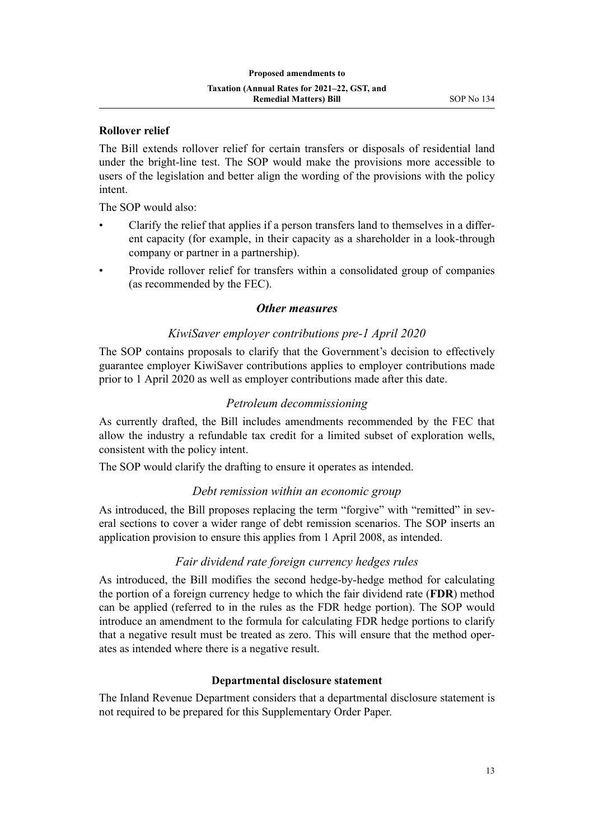# **Rollover relief**

The Bill extends rollover relief for certain transfers or disposals of residential land under the bright-line test. The SOP would make the provisions more accessible to users of the legislation and better align the wording of the provisions with the policy intent.

The SOP would also:

- Clarify the relief that applies if a person transfers land to themselves in a differ‐ ent capacity (for example, in their capacity as a shareholder in a look-through company or partner in a partnership).
- Provide rollover relief for transfers within a consolidated group of companies (as recommended by the FEC).

#### *Other measures*

### *KiwiSaver employer contributions pre-1 April 2020*

The SOP contains proposals to clarify that the Government's decision to effectively guarantee employer KiwiSaver contributions applies to employer contributions made prior to 1 April 2020 as well as employer contributions made after this date.

# *Petroleum decommissioning*

As currently drafted, the Bill includes amendments recommended by the FEC that allow the industry a refundable tax credit for a limited subset of exploration wells, consistent with the policy intent.

The SOP would clarify the drafting to ensure it operates as intended.

# *Debt remission within an economic group*

As introduced, the Bill proposes replacing the term "forgive" with "remitted" in sev‐ eral sections to cover a wider range of debt remission scenarios. The SOP inserts an application provision to ensure this applies from 1 April 2008, as intended.

# *Fair dividend rate foreign currency hedges rules*

As introduced, the Bill modifies the second hedge-by-hedge method for calculating the portion of a foreign currency hedge to which the fair dividend rate (**FDR**) method can be applied (referred to in the rules as the FDR hedge portion). The SOP would introduce an amendment to the formula for calculating FDR hedge portions to clarify that a negative result must be treated as zero. This will ensure that the method oper‐ ates as intended where there is a negative result.

# **Departmental disclosure statement**

The Inland Revenue Department considers that a departmental disclosure statement is not required to be prepared for this Supplementary Order Paper.